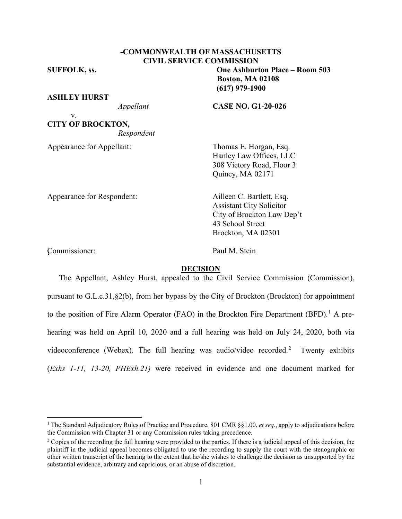# **CIVIL SERVICE COMMISSION**

**-COMMONWEALTH OF MASSACHUSETTS**

**ASHLEY HURST**

v.

**CITY OF BROCKTON,** *Respondent*

Appearance for Appellant: Thomas E. Horgan, Esq.

**SUFFOLK, ss. One Ashburton Place – Room 503 Boston, MA 02108 (617) 979-1900**

*Appellant* **CASE NO. G1-20-026**

Hanley Law Offices, LLC 308 Victory Road, Floor 3 Quincy, MA 02171

Appearance for Respondent: Ailleen C. Bartlett, Esq.

Assistant City Solicitor City of Brockton Law Dep't 43 School Street Brockton, MA 02301

Commissioner: Paul M. Stein '

#### **DECISION**

The Appellant, Ashley Hurst, appealed to the Civil Service Commission (Commission), pursuant to G.L.c.31,§2(b), from her bypass by the City of Brockton (Brockton) for appointment to the position of Fire Alarm Operator (FAO) in the Brockton Fire Department (BFD).<sup>[1](#page-0-0)</sup> A prehearing was held on April 10, 2020 and a full hearing was held on July 24, 2020, both via videoconference (Webex). The full hearing was audio/video recorded.<sup>[2](#page-0-1)</sup> Twenty exhibits (*Exhs 1-11, 13-20, PHExh.21)* were received in evidence and one document marked for

<span id="page-0-0"></span><sup>1</sup> The Standard Adjudicatory Rules of Practice and Procedure, 801 CMR §§1.00, *et seq*., apply to adjudications before the Commission with Chapter 31 or any Commission rules taking precedence.

<span id="page-0-1"></span><sup>&</sup>lt;sup>2</sup> Copies of the recording the full hearing were provided to the parties. If there is a judicial appeal of this decision, the plaintiff in the judicial appeal becomes obligated to use the recording to supply the court with the stenographic or other written transcript of the hearing to the extent that he/she wishes to challenge the decision as unsupported by the substantial evidence, arbitrary and capricious, or an abuse of discretion.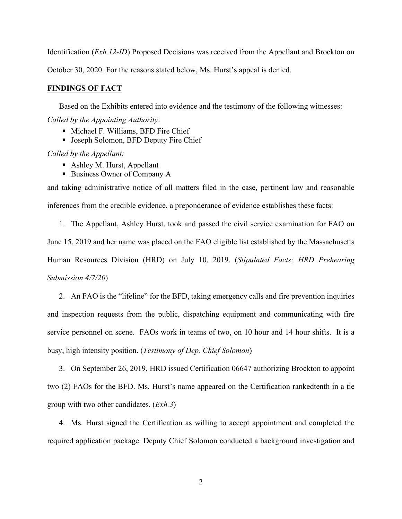Identification (*Exh.12-ID*) Proposed Decisions was received from the Appellant and Brockton on October 30, 2020. For the reasons stated below, Ms. Hurst's appeal is denied.

### **FINDINGS OF FACT**

Based on the Exhibits entered into evidence and the testimony of the following witnesses:

*Called by the Appointing Authority*:

- Michael F. Williams, BFD Fire Chief
- **Joseph Solomon, BFD Deputy Fire Chief**

*Called by the Appellant:*

- Ashley M. Hurst, Appellant
- Business Owner of Company A

and taking administrative notice of all matters filed in the case, pertinent law and reasonable inferences from the credible evidence, a preponderance of evidence establishes these facts:

1. The Appellant, Ashley Hurst, took and passed the civil service examination for FAO on June 15, 2019 and her name was placed on the FAO eligible list established by the Massachusetts Human Resources Division (HRD) on July 10, 2019. (*Stipulated Facts; HRD Prehearing Submission 4/7/20*)

2. An FAO is the "lifeline" for the BFD, taking emergency calls and fire prevention inquiries and inspection requests from the public, dispatching equipment and communicating with fire service personnel on scene. FAOs work in teams of two, on 10 hour and 14 hour shifts. It is a busy, high intensity position. (*Testimony of Dep. Chief Solomon*)

3. On September 26, 2019, HRD issued Certification 06647 authorizing Brockton to appoint two (2) FAOs for the BFD. Ms. Hurst's name appeared on the Certification rankedtenth in a tie group with two other candidates. (*Exh.3*)

4. Ms. Hurst signed the Certification as willing to accept appointment and completed the required application package. Deputy Chief Solomon conducted a background investigation and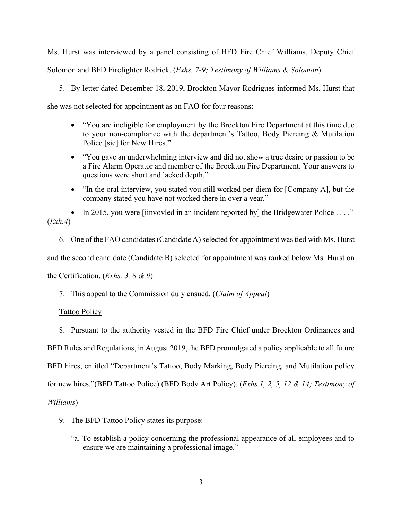Ms. Hurst was interviewed by a panel consisting of BFD Fire Chief Williams, Deputy Chief Solomon and BFD Firefighter Rodrick. (*Exhs. 7-9; Testimony of Williams & Solomon*)

5. By letter dated December 18, 2019, Brockton Mayor Rodrigues informed Ms. Hurst that

she was not selected for appointment as an FAO for four reasons:

- "You are ineligible for employment by the Brockton Fire Department at this time due to your non-compliance with the department's Tattoo, Body Piercing & Mutilation Police [sic] for New Hires."
- "You gave an underwhelming interview and did not show a true desire or passion to be a Fire Alarm Operator and member of the Brockton Fire Department. Your answers to questions were short and lacked depth."
- "In the oral interview, you stated you still worked per-diem for [Company A], but the company stated you have not worked there in over a year."

• In 2015, you were [iinvovled in an incident reported by] the Bridgewater Police . . . ." (*Exh.4*)

6. One of the FAO candidates (Candidate A) selected for appointment was tied with Ms. Hurst and the second candidate (Candidate B) selected for appointment was ranked below Ms. Hurst on the Certification. (*Exhs. 3, 8 & 9*)

7. This appeal to the Commission duly ensued. (*Claim of Appeal*)

Tattoo Policy

8. Pursuant to the authority vested in the BFD Fire Chief under Brockton Ordinances and BFD Rules and Regulations, in August 2019, the BFD promulgated a policy applicable to all future BFD hires, entitled "Department's Tattoo, Body Marking, Body Piercing, and Mutilation policy for new hires."(BFD Tattoo Police) (BFD Body Art Policy). (*Exhs.1, 2, 5, 12 & 14; Testimony of Williams*)

- 9. The BFD Tattoo Policy states its purpose:
	- "a. To establish a policy concerning the professional appearance of all employees and to ensure we are maintaining a professional image."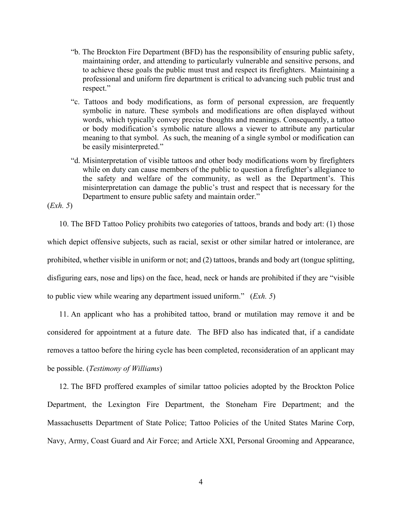- "b. The Brockton Fire Department (BFD) has the responsibility of ensuring public safety, maintaining order, and attending to particularly vulnerable and sensitive persons, and to achieve these goals the public must trust and respect its firefighters. Maintaining a professional and uniform fire department is critical to advancing such public trust and respect."
- "c. Tattoos and body modifications, as form of personal expression, are frequently symbolic in nature. These symbols and modifications are often displayed without words, which typically convey precise thoughts and meanings. Consequently, a tattoo or body modification's symbolic nature allows a viewer to attribute any particular meaning to that symbol. As such, the meaning of a single symbol or modification can be easily misinterpreted."
- "d. Misinterpretation of visible tattoos and other body modifications worn by firefighters while on duty can cause members of the public to question a firefighter's allegiance to the safety and welfare of the community, as well as the Department's. This misinterpretation can damage the public's trust and respect that is necessary for the Department to ensure public safety and maintain order."

(*Exh. 5*)

10. The BFD Tattoo Policy prohibits two categories of tattoos, brands and body art: (1) those which depict offensive subjects, such as racial, sexist or other similar hatred or intolerance, are prohibited, whether visible in uniform or not; and (2) tattoos, brands and body art (tongue splitting, disfiguring ears, nose and lips) on the face, head, neck or hands are prohibited if they are "visible to public view while wearing any department issued uniform." (*Exh. 5*)

11. An applicant who has a prohibited tattoo, brand or mutilation may remove it and be considered for appointment at a future date. The BFD also has indicated that, if a candidate removes a tattoo before the hiring cycle has been completed, reconsideration of an applicant may be possible. (*Testimony of Williams*)

12. The BFD proffered examples of similar tattoo policies adopted by the Brockton Police Department, the Lexington Fire Department, the Stoneham Fire Department; and the Massachusetts Department of State Police; Tattoo Policies of the United States Marine Corp, Navy, Army, Coast Guard and Air Force; and Article XXI, Personal Grooming and Appearance,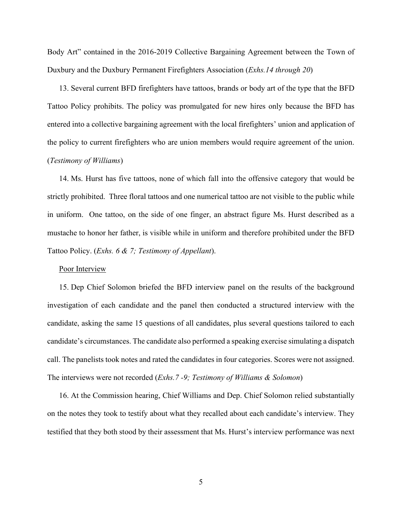Body Art" contained in the 2016-2019 Collective Bargaining Agreement between the Town of Duxbury and the Duxbury Permanent Firefighters Association (*Exhs.14 through 20*)

13. Several current BFD firefighters have tattoos, brands or body art of the type that the BFD Tattoo Policy prohibits. The policy was promulgated for new hires only because the BFD has entered into a collective bargaining agreement with the local firefighters' union and application of the policy to current firefighters who are union members would require agreement of the union. (*Testimony of Williams*)

14. Ms. Hurst has five tattoos, none of which fall into the offensive category that would be strictly prohibited. Three floral tattoos and one numerical tattoo are not visible to the public while in uniform. One tattoo, on the side of one finger, an abstract figure Ms. Hurst described as a mustache to honor her father, is visible while in uniform and therefore prohibited under the BFD Tattoo Policy. (*Exhs. 6 & 7; Testimony of Appellant*).

## Poor Interview

15. Dep Chief Solomon briefed the BFD interview panel on the results of the background investigation of each candidate and the panel then conducted a structured interview with the candidate, asking the same 15 questions of all candidates, plus several questions tailored to each candidate's circumstances. The candidate also performed a speaking exercise simulating a dispatch call. The panelists took notes and rated the candidates in four categories. Scores were not assigned. The interviews were not recorded (*Exhs.7 -9; Testimony of Williams & Solomon*)

16. At the Commission hearing, Chief Williams and Dep. Chief Solomon relied substantially on the notes they took to testify about what they recalled about each candidate's interview. They testified that they both stood by their assessment that Ms. Hurst's interview performance was next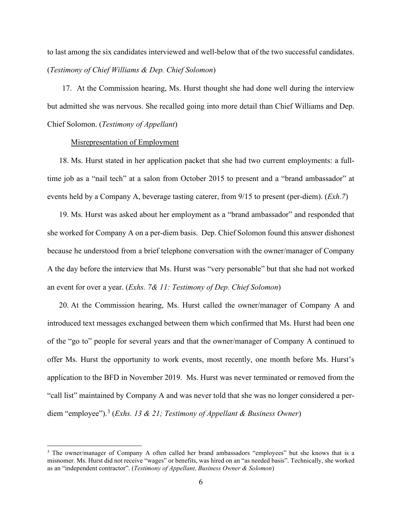to last among the six candidates interviewed and well-below that of the two successful candidates. (*Testimony of Chief Williams & Dep. Chief Solomon*)

17. At the Commission hearing, Ms. Hurst thought she had done well during the interview but admitted she was nervous. She recalled going into more detail than Chief Williams and Dep. Chief Solomon. (*Testimony of Appellant*)

## Misrepresentation of Employment

18. Ms. Hurst stated in her application packet that she had two current employments: a fulltime job as a "nail tech" at a salon from October 2015 to present and a "brand ambassador" at events held by a Company A, beverage tasting caterer, from 9/15 to present (per-diem). (*Exh.7*)

19. Ms. Hurst was asked about her employment as a "brand ambassador" and responded that she worked for Company A on a per-diem basis. Dep. Chief Solomon found this answer dishonest because he understood from a brief telephone conversation with the owner/manager of Company A the day before the interview that Ms. Hurst was "very personable" but that she had not worked an event for over a year. (*Exhs. 7& 11: Testimony of Dep. Chief Solomon*)

20. At the Commission hearing, Ms. Hurst called the owner/manager of Company A and introduced text messages exchanged between them which confirmed that Ms. Hurst had been one of the "go to" people for several years and that the owner/manager of Company A continued to offer Ms. Hurst the opportunity to work events, most recently, one month before Ms. Hurst's application to the BFD in November 2019. Ms. Hurst was never terminated or removed from the "call list" maintained by Company A and was never told that she was no longer considered a perdiem "employee"). [3](#page-5-0) (*Exhs. 13 & 21; Testimony of Appellant & Business Owner*)

<span id="page-5-0"></span><sup>&</sup>lt;sup>3</sup> The owner/manager of Company A often called her brand ambassadors "employees" but she knows that is a misnomer. Ms. Hurst did not receive "wages" or benefits, was hired on an "as needed basis". Technically, she worked as an "independent contractor". (*Testimony of Appellant, Business Owner & Solomon*)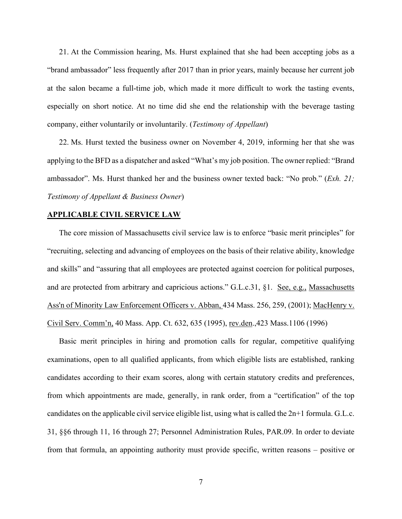21. At the Commission hearing, Ms. Hurst explained that she had been accepting jobs as a "brand ambassador" less frequently after 2017 than in prior years, mainly because her current job at the salon became a full-time job, which made it more difficult to work the tasting events, especially on short notice. At no time did she end the relationship with the beverage tasting company, either voluntarily or involuntarily. (*Testimony of Appellant*)

22. Ms. Hurst texted the business owner on November 4, 2019, informing her that she was applying to the BFD as a dispatcher and asked "What's my job position. The owner replied: "Brand ambassador". Ms. Hurst thanked her and the business owner texted back: "No prob." (*Exh. 21; Testimony of Appellant & Business Owner*)

#### **APPLICABLE CIVIL SERVICE LAW**

The core mission of Massachusetts civil service law is to enforce "basic merit principles" for "recruiting, selecting and advancing of employees on the basis of their relative ability, knowledge and skills" and "assuring that all employees are protected against coercion for political purposes, and are protected from arbitrary and capricious actions." G.L.c.31, §1. See, e.g., Massachusetts [Ass'n of Minority Law Enforcement Officers v. Abban,](http://web2.westlaw.com/find/default.wl?mt=Massachusetts&db=578&rs=WLW15.04&tc=-1&rp=%2ffind%2fdefault.wl&findtype=Y&ordoc=2029136022&serialnum=2001441097&vr=2.0&fn=_top&sv=Split&tf=-1&pbc=70F732C1&utid=1) 434 Mass. 256, 259, (2001); MacHenry v. Civil Serv. Comm'n, 40 Mass. App. Ct. 632, 635 (1995), rev.den.,423 Mass.1106 (1996)

Basic merit principles in hiring and promotion calls for regular, competitive qualifying examinations, open to all qualified applicants, from which eligible lists are established, ranking candidates according to their exam scores, along with certain statutory credits and preferences, from which appointments are made, generally, in rank order, from a "certification" of the top candidates on the applicable civil service eligible list, using what is called the 2n+1 formula. G.L.c. 31, §§6 through 11, 16 through 27; Personnel Administration Rules, PAR.09. In order to deviate from that formula, an appointing authority must provide specific, written reasons – positive or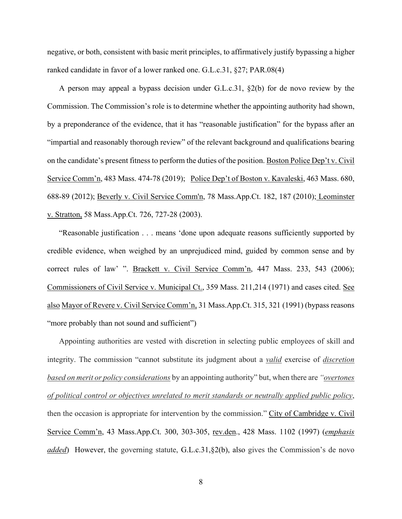negative, or both, consistent with basic merit principles, to affirmatively justify bypassing a higher ranked candidate in favor of a lower ranked one. G.L.c.31, §27; PAR.08(4)

A person may appeal a bypass decision under G.L.c.31, §2(b) for de novo review by the Commission. The Commission's role is to determine whether the appointing authority had shown, by a preponderance of the evidence, that it has "reasonable justification" for the bypass after an "impartial and reasonably thorough review" of the relevant background and qualifications bearing on the candidate's present fitness to perform the duties of the position. Boston Police Dep't v. Civil Service Comm'n, 483 Mass. 474-78 (2019); Police Dep't of Boston v. Kavaleski, 463 Mass. 680, 688-89 (2012); [Beverly v. Civil Service Comm'n, 78 Mass.App.Ct. 182, 187 \(2010\);](http://web2.westlaw.com/find/default.wl?mt=Massachusetts&db=578&rs=WLW15.04&tc=-1&rp=%2ffind%2fdefault.wl&findtype=Y&ordoc=2029136022&serialnum=2023501172&vr=2.0&fn=_top&sv=Split&tf=-1&pbc=70F732C1&utid=1) Leominster v. Stratton, 58 Mass.App.Ct. 726, 727-28 (2003).

"Reasonable justification . . . means 'done upon adequate reasons sufficiently supported by credible evidence, when weighed by an unprejudiced mind, guided by common sense and by correct rules of law' ". Brackett v. Civil Service Comm'n, 447 Mass. 233, 543 (2006); Commissioners of Civil Service v. Municipal Ct., 359 Mass. 211,214 (1971) and cases cited. See also Mayor of Revere v. Civil Service Comm'n, 31 Mass.App.Ct. 315, 321 (1991) (bypass reasons "more probably than not sound and sufficient")

Appointing authorities are vested with discretion in selecting public employees of skill and integrity. The commission "cannot substitute its judgment about a *valid* exercise of *discretion based on merit or policy considerations* by an appointing authority" but, when there are *"overtones of political control or objectives unrelated to merit standards or neutrally applied public policy*, then the occasion is appropriate for intervention by the commission." City of Cambridge v. Civil Service Comm'n, 43 Mass.App.Ct. 300, 303-305, rev.den., 428 Mass. 1102 (1997) (*emphasis added*) However, the governing statute, [G.L.c.31,§2\(b\),](https://1.next.westlaw.com/Link/Document/FullText?findType=L&pubNum=1000042&cite=MAST31S2&originatingDoc=Ib21af0ded3bd11d99439b076ef9ec4de&refType=LQ&originationContext=document&transitionType=DocumentItem&contextData=(sc.History*oc.UserEnteredCitation)) also gives the Commission's de novo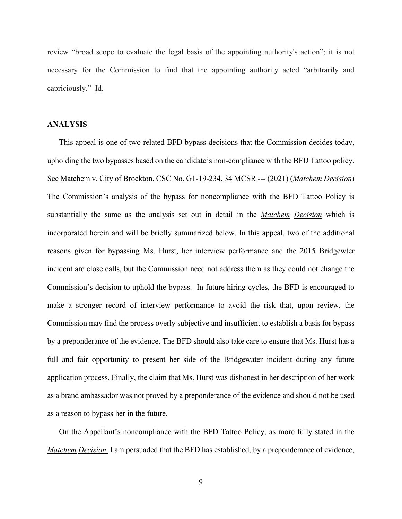review "broad scope to evaluate the legal basis of the appointing authority's action"; it is not necessary for the Commission to find that the appointing authority acted "arbitrarily and capriciously." Id.

## **ANALYSIS**

This appeal is one of two related BFD bypass decisions that the Commission decides today, upholding the two bypasses based on the candidate's non-compliance with the BFD Tattoo policy. See Matchem v. City of Brockton, CSC No. G1-19-234, 34 MCSR --- (2021) (*Matchem Decision*) The Commission's analysis of the bypass for noncompliance with the BFD Tattoo Policy is substantially the same as the analysis set out in detail in the *Matchem Decision* which is incorporated herein and will be briefly summarized below. In this appeal, two of the additional reasons given for bypassing Ms. Hurst, her interview performance and the 2015 Bridgewter incident are close calls, but the Commission need not address them as they could not change the Commission's decision to uphold the bypass. In future hiring cycles, the BFD is encouraged to make a stronger record of interview performance to avoid the risk that, upon review, the Commission may find the process overly subjective and insufficient to establish a basis for bypass by a preponderance of the evidence. The BFD should also take care to ensure that Ms. Hurst has a full and fair opportunity to present her side of the Bridgewater incident during any future application process. Finally, the claim that Ms. Hurst was dishonest in her description of her work as a brand ambassador was not proved by a preponderance of the evidence and should not be used as a reason to bypass her in the future.

On the Appellant's noncompliance with the BFD Tattoo Policy, as more fully stated in the *Matchem Decision,* I am persuaded that the BFD has established, by a preponderance of evidence,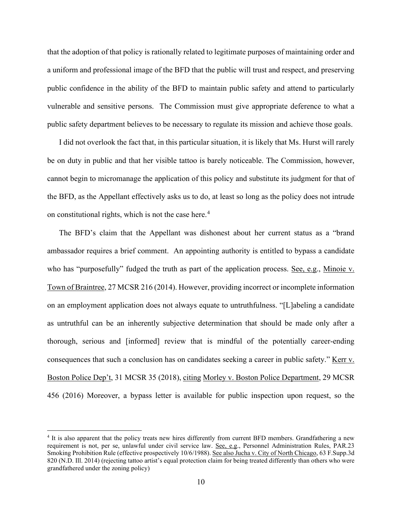that the adoption of that policy is rationally related to legitimate purposes of maintaining order and a uniform and professional image of the BFD that the public will trust and respect, and preserving public confidence in the ability of the BFD to maintain public safety and attend to particularly vulnerable and sensitive persons. The Commission must give appropriate deference to what a public safety department believes to be necessary to regulate its mission and achieve those goals.

I did not overlook the fact that, in this particular situation, it is likely that Ms. Hurst will rarely be on duty in public and that her visible tattoo is barely noticeable. The Commission, however, cannot begin to micromanage the application of this policy and substitute its judgment for that of the BFD, as the Appellant effectively asks us to do, at least so long as the policy does not intrude on constitutional rights, which is not the case here.[4](#page-9-0)

The BFD's claim that the Appellant was dishonest about her current status as a "brand ambassador requires a brief comment. An appointing authority is entitled to bypass a candidate who has "purposefully" fudged the truth as part of the application process. See, e.g., Minoie v. Town of Braintree, 27 MCSR 216 (2014). However, providing incorrect or incomplete information on an employment application does not always equate to untruthfulness. "[L]abeling a candidate as untruthful can be an inherently subjective determination that should be made only after a thorough, serious and [informed] review that is mindful of the potentially career-ending consequences that such a conclusion has on candidates seeking a career in public safety." Kerr v. Boston Police Dep't, 31 MCSR 35 (2018), citing Morley v. Boston Police Department, 29 MCSR 456 (2016) Moreover, a bypass letter is available for public inspection upon request, so the

<span id="page-9-0"></span><sup>4</sup> It is also apparent that the policy treats new hires differently from current BFD members. Grandfathering a new requirement is not, per se, unlawful under civil service law. See, e.g., Personnel Administration Rules, PAR.23 Smoking Prohibition Rule (effective prospectively 10/6/1988). See also Jucha v. City of North Chicago, 63 F.Supp.3d 820 (N.D. Ill. 2014) (rejecting tattoo artist's equal protection claim for being treated differently than others who were grandfathered under the zoning policy)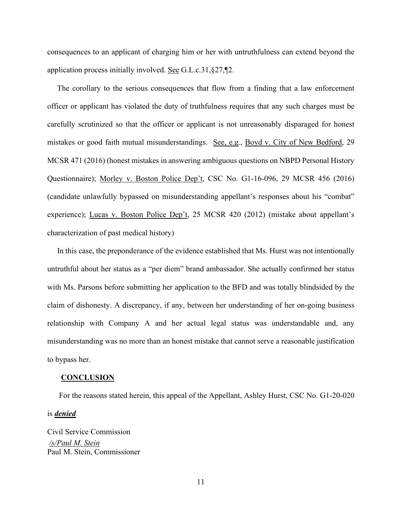consequences to an applicant of charging him or her with untruthfulness can extend beyond the application process initially involved. See G.L.c.31,§27,¶2.

The corollary to the serious consequences that flow from a finding that a law enforcement officer or applicant has violated the duty of truthfulness requires that any such charges must be carefully scrutinized so that the officer or applicant is not unreasonably disparaged for honest mistakes or good faith mutual misunderstandings. See, e.g., Boyd v. City of New Bedford, 29 MCSR 471 (2016) (honest mistakes in answering ambiguous questions on NBPD Personal History Questionnaire); Morley v. Boston Police Dep't, CSC No. G1-16-096, 29 MCSR 456 (2016) (candidate unlawfully bypassed on misunderstanding appellant's responses about his "combat" experience); Lucas v. Boston Police Dep't, 25 MCSR 420 (2012) (mistake about appellant's characterization of past medical history)

In this case, the preponderance of the evidence established that Ms. Hurst was not intentionally untruthful about her status as a "per diem" brand ambassador. She actually confirmed her status with Ms. Parsons before submitting her application to the BFD and was totally blindsided by the claim of dishonesty. A discrepancy, if any, between her understanding of her on-going business relationship with Company A and her actual legal status was understandable and, any misunderstanding was no more than an honest mistake that cannot serve a reasonable justification to bypass her.

#### **CONCLUSION**

For the reasons stated herein, this appeal of the Appellant, Ashley Hurst, CSC No. G1-20-020

is *denied.*

Civil Service Commission */s/Paul M. Stein* Paul M. Stein, Commissioner